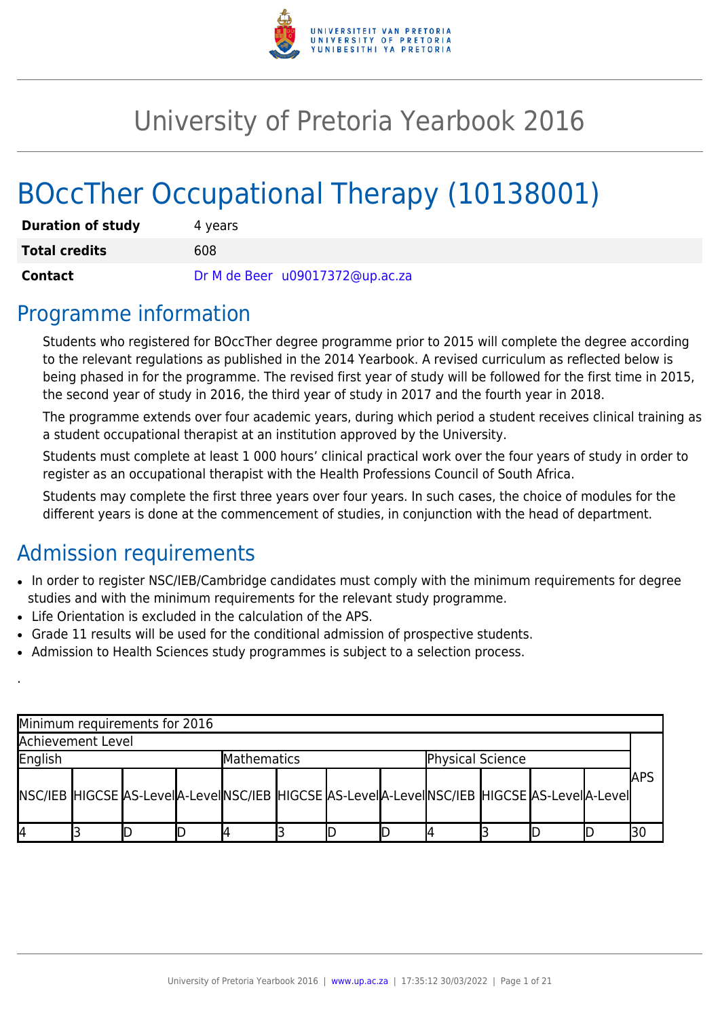

# University of Pretoria Yearbook 2016

# BOccTher Occupational Therapy (10138001)

| <b>Duration of study</b> | 4 years                         |
|--------------------------|---------------------------------|
| <b>Total credits</b>     | 608                             |
| Contact                  | Dr M de Beer u09017372@up.ac.za |

### Programme information

Students who registered for BOccTher degree programme prior to 2015 will complete the degree according to the relevant regulations as published in the 2014 Yearbook. A revised curriculum as reflected below is being phased in for the programme. The revised first year of study will be followed for the first time in 2015, the second year of study in 2016, the third year of study in 2017 and the fourth year in 2018.

The programme extends over four academic years, during which period a student receives clinical training as a student occupational therapist at an institution approved by the University.

Students must complete at least 1 000 hours' clinical practical work over the four years of study in order to register as an occupational therapist with the Health Professions Council of South Africa.

Students may complete the first three years over four years. In such cases, the choice of modules for the different years is done at the commencement of studies, in conjunction with the head of department.

# Admission requirements

.

- In order to register NSC/IEB/Cambridge candidates must comply with the minimum requirements for degree studies and with the minimum requirements for the relevant study programme.
- Life Orientation is excluded in the calculation of the APS.
- Grade 11 results will be used for the conditional admission of prospective students.
- Admission to Health Sciences study programmes is subject to a selection process.

| Minimum requirements for 2016                                                              |  |  |  |                    |  |  |                  |  |  |             |
|--------------------------------------------------------------------------------------------|--|--|--|--------------------|--|--|------------------|--|--|-------------|
| Achievement Level                                                                          |  |  |  |                    |  |  |                  |  |  |             |
| English                                                                                    |  |  |  | <b>Mathematics</b> |  |  | Physical Science |  |  |             |
| NSC/IEB HIGCSE AS-LevelA-LevelNSC/IEB HIGCSE AS-LevelA-LevelNSC/IEB HIGCSE AS-LevelA-Level |  |  |  |                    |  |  |                  |  |  | <b>JAPS</b> |
| I4                                                                                         |  |  |  |                    |  |  |                  |  |  |             |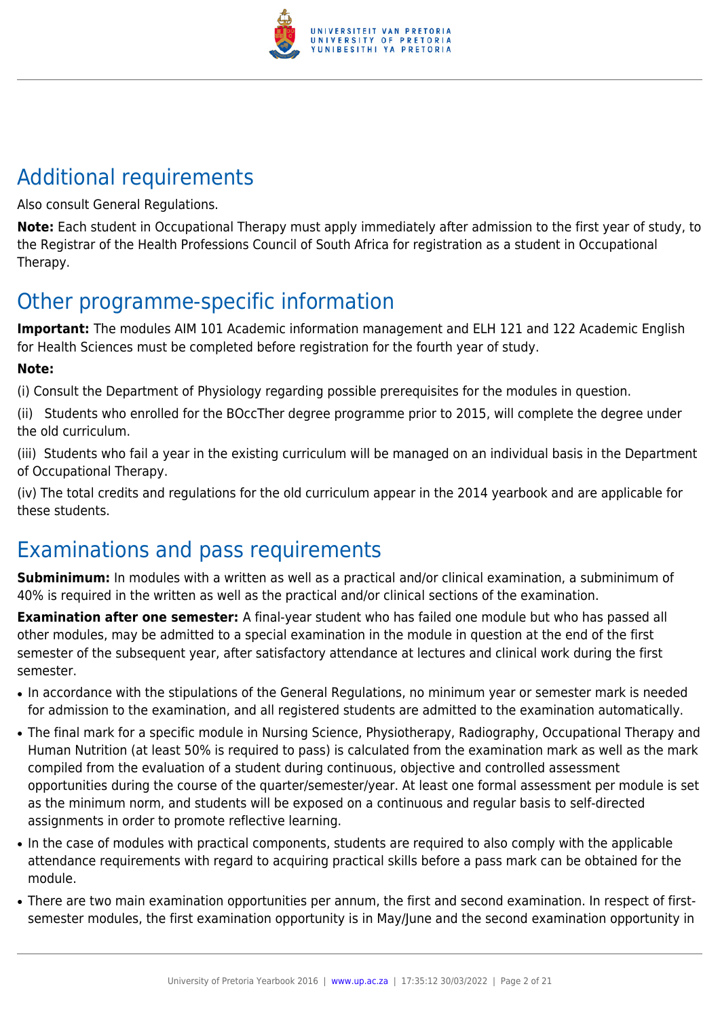

# Additional requirements

Also consult General Regulations.

**Note:** Each student in Occupational Therapy must apply immediately after admission to the first year of study, to the Registrar of the Health Professions Council of South Africa for registration as a student in Occupational Therapy.

# Other programme-specific information

**Important:** The modules AIM 101 Academic information management and ELH 121 and 122 Academic English for Health Sciences must be completed before registration for the fourth year of study.

#### **Note:**

(i) Consult the Department of Physiology regarding possible prerequisites for the modules in question.

(ii) Students who enrolled for the BOccTher degree programme prior to 2015, will complete the degree under the old curriculum.

(iii) Students who fail a year in the existing curriculum will be managed on an individual basis in the Department of Occupational Therapy.

(iv) The total credits and regulations for the old curriculum appear in the 2014 yearbook and are applicable for these students.

# Examinations and pass requirements

**Subminimum:** In modules with a written as well as a practical and/or clinical examination, a subminimum of 40% is required in the written as well as the practical and/or clinical sections of the examination.

**Examination after one semester:** A final-year student who has failed one module but who has passed all other modules, may be admitted to a special examination in the module in question at the end of the first semester of the subsequent year, after satisfactory attendance at lectures and clinical work during the first semester.

- In accordance with the stipulations of the General Regulations, no minimum year or semester mark is needed for admission to the examination, and all registered students are admitted to the examination automatically.
- The final mark for a specific module in Nursing Science, Physiotherapy, Radiography, Occupational Therapy and Human Nutrition (at least 50% is required to pass) is calculated from the examination mark as well as the mark compiled from the evaluation of a student during continuous, objective and controlled assessment opportunities during the course of the quarter/semester/year. At least one formal assessment per module is set as the minimum norm, and students will be exposed on a continuous and regular basis to self-directed assignments in order to promote reflective learning.
- In the case of modules with practical components, students are required to also comply with the applicable attendance requirements with regard to acquiring practical skills before a pass mark can be obtained for the module.
- There are two main examination opportunities per annum, the first and second examination. In respect of firstsemester modules, the first examination opportunity is in May/June and the second examination opportunity in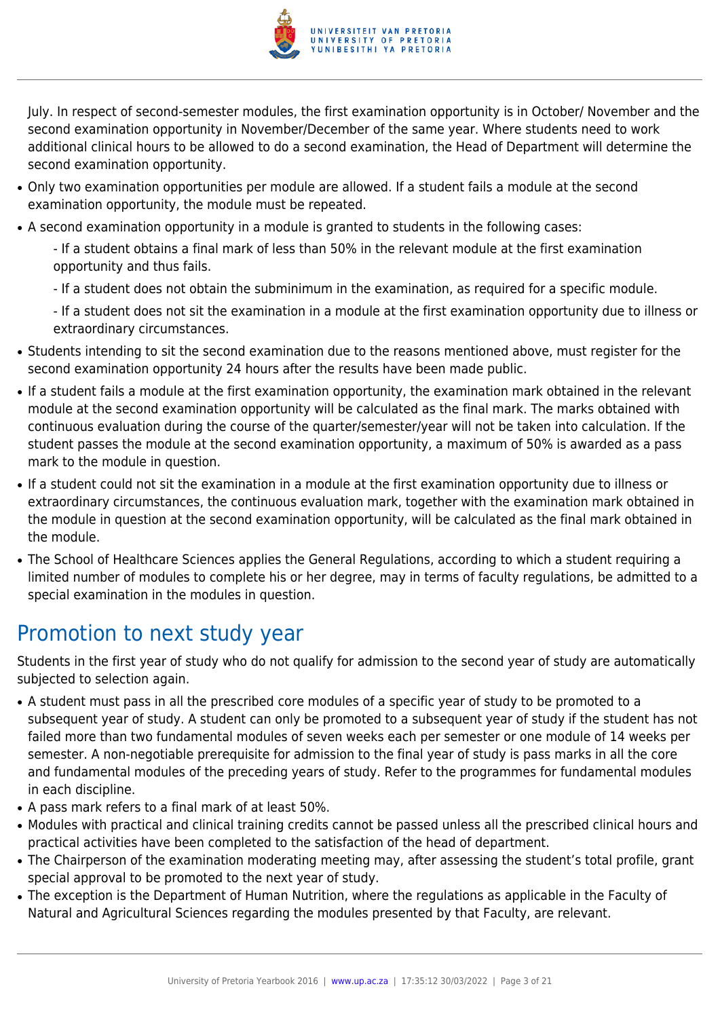

July. In respect of second-semester modules, the first examination opportunity is in October/ November and the second examination opportunity in November/December of the same year. Where students need to work additional clinical hours to be allowed to do a second examination, the Head of Department will determine the second examination opportunity.

- Only two examination opportunities per module are allowed. If a student fails a module at the second examination opportunity, the module must be repeated.
- A second examination opportunity in a module is granted to students in the following cases:
	- If a student obtains a final mark of less than 50% in the relevant module at the first examination opportunity and thus fails.
	- If a student does not obtain the subminimum in the examination, as required for a specific module.
	- If a student does not sit the examination in a module at the first examination opportunity due to illness or extraordinary circumstances.
- Students intending to sit the second examination due to the reasons mentioned above, must register for the second examination opportunity 24 hours after the results have been made public.
- If a student fails a module at the first examination opportunity, the examination mark obtained in the relevant module at the second examination opportunity will be calculated as the final mark. The marks obtained with continuous evaluation during the course of the quarter/semester/year will not be taken into calculation. If the student passes the module at the second examination opportunity, a maximum of 50% is awarded as a pass mark to the module in question.
- If a student could not sit the examination in a module at the first examination opportunity due to illness or extraordinary circumstances, the continuous evaluation mark, together with the examination mark obtained in the module in question at the second examination opportunity, will be calculated as the final mark obtained in the module.
- The School of Healthcare Sciences applies the General Regulations, according to which a student requiring a limited number of modules to complete his or her degree, may in terms of faculty regulations, be admitted to a special examination in the modules in question.

# Promotion to next study year

Students in the first year of study who do not qualify for admission to the second year of study are automatically subjected to selection again.

- A student must pass in all the prescribed core modules of a specific year of study to be promoted to a subsequent year of study. A student can only be promoted to a subsequent year of study if the student has not failed more than two fundamental modules of seven weeks each per semester or one module of 14 weeks per semester. A non-negotiable prerequisite for admission to the final year of study is pass marks in all the core and fundamental modules of the preceding years of study. Refer to the programmes for fundamental modules in each discipline.
- A pass mark refers to a final mark of at least 50%.
- Modules with practical and clinical training credits cannot be passed unless all the prescribed clinical hours and practical activities have been completed to the satisfaction of the head of department.
- The Chairperson of the examination moderating meeting may, after assessing the student's total profile, grant special approval to be promoted to the next year of study.
- The exception is the Department of Human Nutrition, where the regulations as applicable in the Faculty of Natural and Agricultural Sciences regarding the modules presented by that Faculty, are relevant.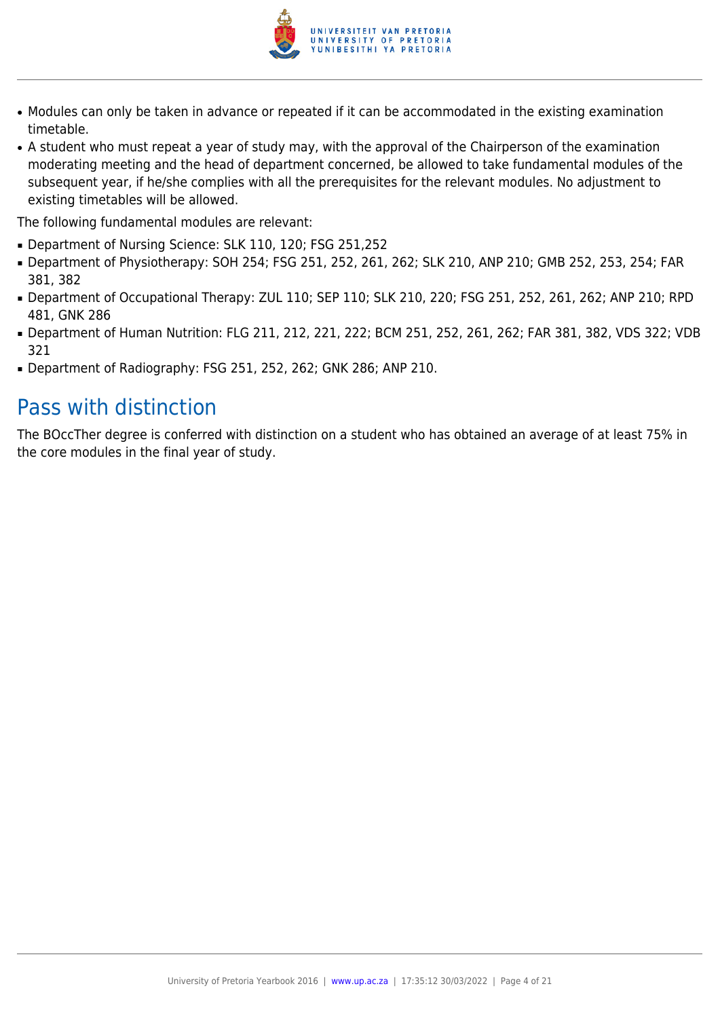

- Modules can only be taken in advance or repeated if it can be accommodated in the existing examination timetable.
- A student who must repeat a year of study may, with the approval of the Chairperson of the examination moderating meeting and the head of department concerned, be allowed to take fundamental modules of the subsequent year, if he/she complies with all the prerequisites for the relevant modules. No adjustment to existing timetables will be allowed.

The following fundamental modules are relevant:

- Department of Nursing Science: SLK 110, 120; FSG 251,252
- Department of Physiotherapy: SOH 254; FSG 251, 252, 261, 262; SLK 210, ANP 210; GMB 252, 253, 254; FAR 381, 382
- Department of Occupational Therapy: ZUL 110; SEP 110; SLK 210, 220; FSG 251, 252, 261, 262; ANP 210; RPD 481, GNK 286
- Department of Human Nutrition: FLG 211, 212, 221, 222; BCM 251, 252, 261, 262; FAR 381, 382, VDS 322; VDB 321
- Department of Radiography: FSG 251, 252, 262; GNK 286; ANP 210.

### Pass with distinction

The BOccTher degree is conferred with distinction on a student who has obtained an average of at least 75% in the core modules in the final year of study.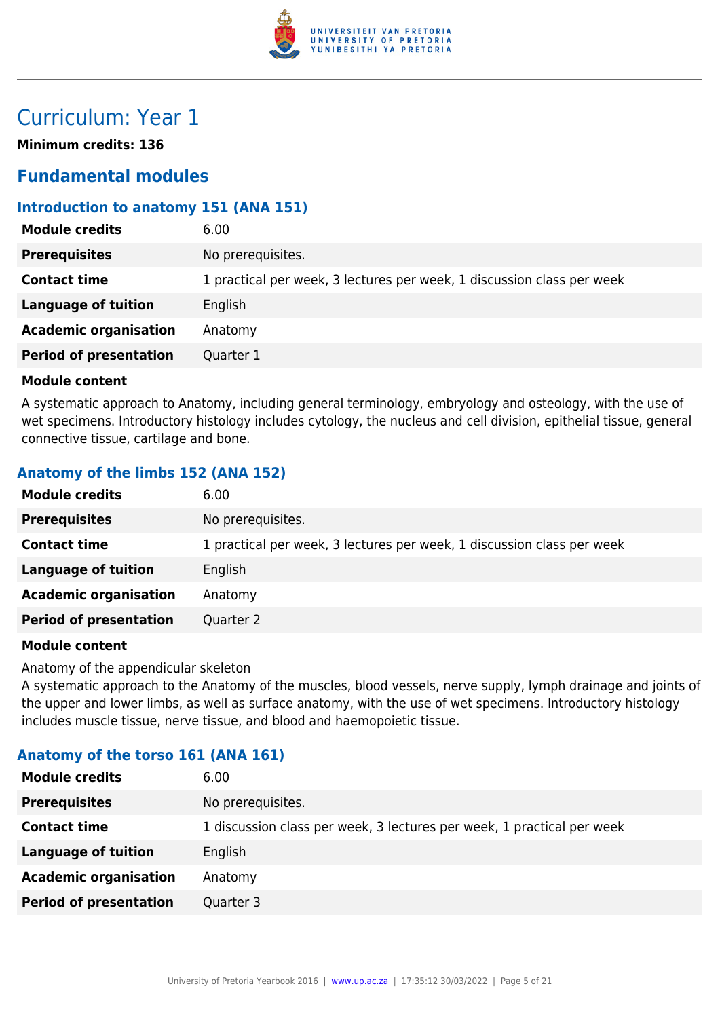

# Curriculum: Year 1

**Minimum credits: 136**

### **Fundamental modules**

#### **Introduction to anatomy 151 (ANA 151)**

| <b>Module credits</b>         | 6.00                                                                   |
|-------------------------------|------------------------------------------------------------------------|
| <b>Prerequisites</b>          | No prerequisites.                                                      |
| <b>Contact time</b>           | 1 practical per week, 3 lectures per week, 1 discussion class per week |
| Language of tuition           | English                                                                |
| <b>Academic organisation</b>  | Anatomy                                                                |
| <b>Period of presentation</b> | Quarter 1                                                              |
|                               |                                                                        |

#### **Module content**

A systematic approach to Anatomy, including general terminology, embryology and osteology, with the use of wet specimens. Introductory histology includes cytology, the nucleus and cell division, epithelial tissue, general connective tissue, cartilage and bone.

#### **Anatomy of the limbs 152 (ANA 152)**

| No prerequisites.<br><b>Prerequisites</b>                                                     |  |
|-----------------------------------------------------------------------------------------------|--|
| 1 practical per week, 3 lectures per week, 1 discussion class per week<br><b>Contact time</b> |  |
| <b>Language of tuition</b><br>English                                                         |  |
| <b>Academic organisation</b><br>Anatomy                                                       |  |
| <b>Period of presentation</b><br>Quarter 2                                                    |  |

#### **Module content**

Anatomy of the appendicular skeleton

A systematic approach to the Anatomy of the muscles, blood vessels, nerve supply, lymph drainage and joints of the upper and lower limbs, as well as surface anatomy, with the use of wet specimens. Introductory histology includes muscle tissue, nerve tissue, and blood and haemopoietic tissue.

#### **Anatomy of the torso 161 (ANA 161)**

| <b>Module credits</b>         | 6.00                                                                   |
|-------------------------------|------------------------------------------------------------------------|
| <b>Prerequisites</b>          | No prerequisites.                                                      |
| <b>Contact time</b>           | 1 discussion class per week, 3 lectures per week, 1 practical per week |
| Language of tuition           | English                                                                |
| <b>Academic organisation</b>  | Anatomy                                                                |
| <b>Period of presentation</b> | Quarter 3                                                              |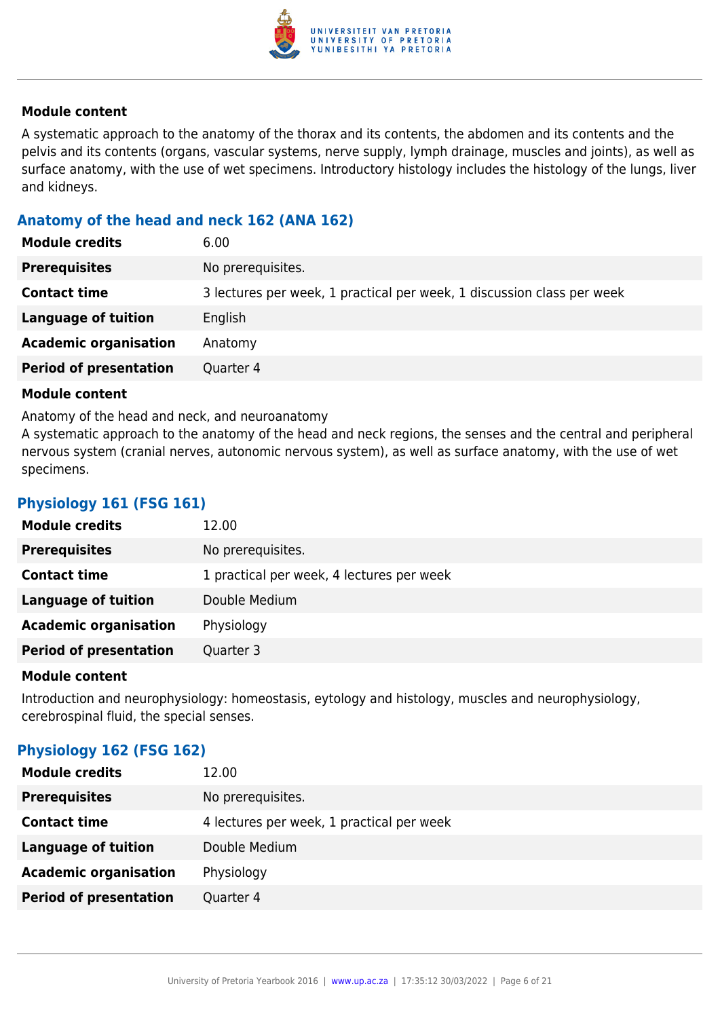

A systematic approach to the anatomy of the thorax and its contents, the abdomen and its contents and the pelvis and its contents (organs, vascular systems, nerve supply, lymph drainage, muscles and joints), as well as surface anatomy, with the use of wet specimens. Introductory histology includes the histology of the lungs, liver and kidneys.

#### **Anatomy of the head and neck 162 (ANA 162)**

| <b>Module credits</b>         | 6.00                                                                   |
|-------------------------------|------------------------------------------------------------------------|
| <b>Prerequisites</b>          | No prerequisites.                                                      |
| <b>Contact time</b>           | 3 lectures per week, 1 practical per week, 1 discussion class per week |
| Language of tuition           | English                                                                |
| <b>Academic organisation</b>  | Anatomy                                                                |
| <b>Period of presentation</b> | Quarter 4                                                              |

#### **Module content**

Anatomy of the head and neck, and neuroanatomy

A systematic approach to the anatomy of the head and neck regions, the senses and the central and peripheral nervous system (cranial nerves, autonomic nervous system), as well as surface anatomy, with the use of wet specimens.

#### **Physiology 161 (FSG 161)**

| <b>Module credits</b>         | 12.00                                     |
|-------------------------------|-------------------------------------------|
| <b>Prerequisites</b>          | No prerequisites.                         |
| <b>Contact time</b>           | 1 practical per week, 4 lectures per week |
| Language of tuition           | Double Medium                             |
| <b>Academic organisation</b>  | Physiology                                |
| <b>Period of presentation</b> | Quarter 3                                 |

#### **Module content**

Introduction and neurophysiology: homeostasis, eytology and histology, muscles and neurophysiology, cerebrospinal fluid, the special senses.

#### **Physiology 162 (FSG 162)**

| <b>Module credits</b>         | 12.00                                     |
|-------------------------------|-------------------------------------------|
| <b>Prerequisites</b>          | No prerequisites.                         |
| <b>Contact time</b>           | 4 lectures per week, 1 practical per week |
| <b>Language of tuition</b>    | Double Medium                             |
| <b>Academic organisation</b>  | Physiology                                |
| <b>Period of presentation</b> | Quarter 4                                 |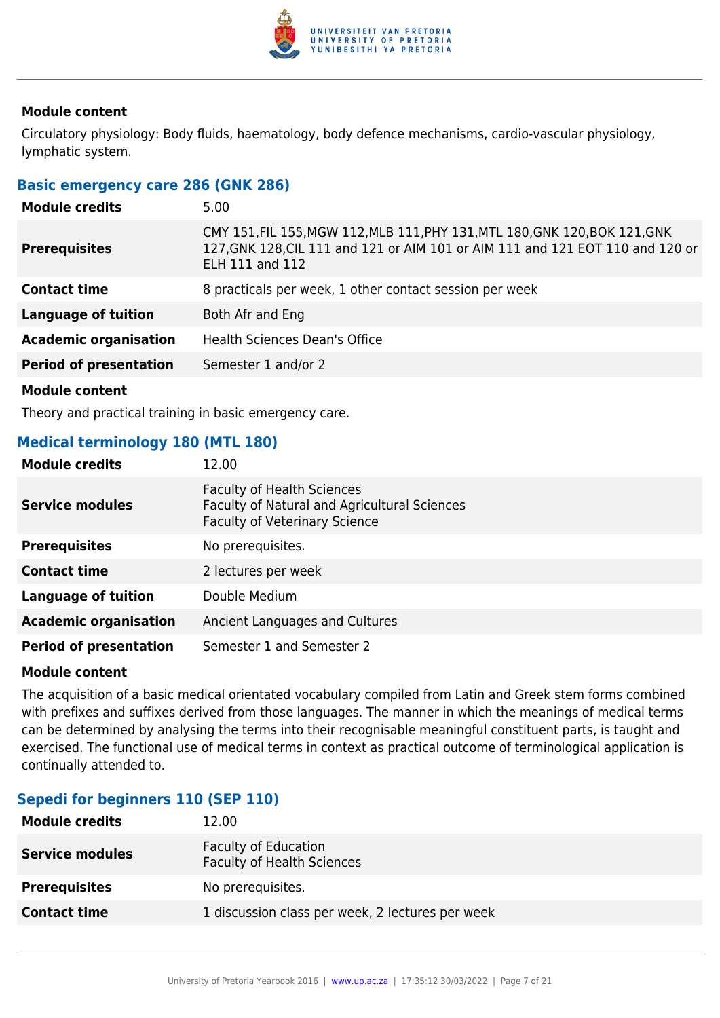

Circulatory physiology: Body fluids, haematology, body defence mechanisms, cardio-vascular physiology, lymphatic system.

#### **Basic emergency care 286 (GNK 286)**

| <b>Module credits</b>         | 5.00                                                                                                                                                                                    |
|-------------------------------|-----------------------------------------------------------------------------------------------------------------------------------------------------------------------------------------|
| <b>Prerequisites</b>          | CMY 151, FIL 155, MGW 112, MLB 111, PHY 131, MTL 180, GNK 120, BOK 121, GNK<br>127, GNK 128, CIL 111 and 121 or AIM 101 or AIM 111 and 121 EOT 110 and 120 or<br><b>ELH 111 and 112</b> |
| <b>Contact time</b>           | 8 practicals per week, 1 other contact session per week                                                                                                                                 |
| <b>Language of tuition</b>    | Both Afr and Eng                                                                                                                                                                        |
| <b>Academic organisation</b>  | <b>Health Sciences Dean's Office</b>                                                                                                                                                    |
| <b>Period of presentation</b> | Semester 1 and/or 2                                                                                                                                                                     |
|                               |                                                                                                                                                                                         |

**Module content**

Theory and practical training in basic emergency care.

#### **Medical terminology 180 (MTL 180)**

| <b>Module credits</b>         | 12.00                                                                                                                     |
|-------------------------------|---------------------------------------------------------------------------------------------------------------------------|
| <b>Service modules</b>        | <b>Faculty of Health Sciences</b><br>Faculty of Natural and Agricultural Sciences<br><b>Faculty of Veterinary Science</b> |
| <b>Prerequisites</b>          | No prerequisites.                                                                                                         |
| <b>Contact time</b>           | 2 lectures per week                                                                                                       |
| <b>Language of tuition</b>    | Double Medium                                                                                                             |
| <b>Academic organisation</b>  | Ancient Languages and Cultures                                                                                            |
| <b>Period of presentation</b> | Semester 1 and Semester 2                                                                                                 |

#### **Module content**

The acquisition of a basic medical orientated vocabulary compiled from Latin and Greek stem forms combined with prefixes and suffixes derived from those languages. The manner in which the meanings of medical terms can be determined by analysing the terms into their recognisable meaningful constituent parts, is taught and exercised. The functional use of medical terms in context as practical outcome of terminological application is continually attended to.

#### **Sepedi for beginners 110 (SEP 110)**

| <b>Module credits</b>  | 12.00                                                            |
|------------------------|------------------------------------------------------------------|
| <b>Service modules</b> | <b>Faculty of Education</b><br><b>Faculty of Health Sciences</b> |
| <b>Prerequisites</b>   | No prerequisites.                                                |
| <b>Contact time</b>    | 1 discussion class per week, 2 lectures per week                 |
|                        |                                                                  |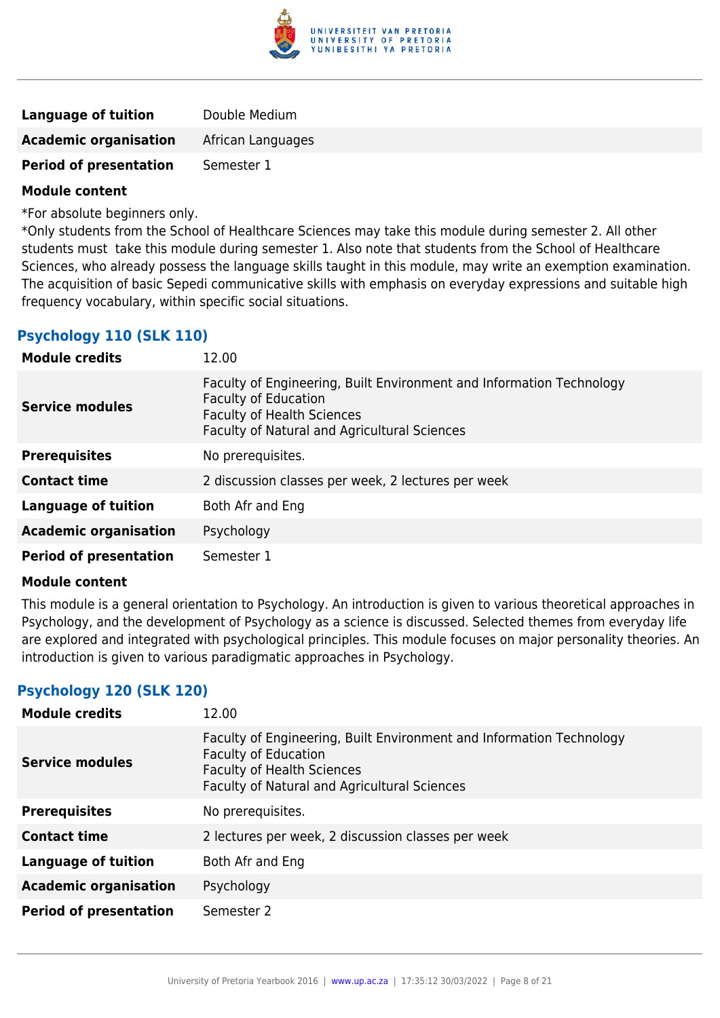

| <b>Language of tuition</b>    | Double Medium     |
|-------------------------------|-------------------|
| <b>Academic organisation</b>  | African Languages |
| <b>Period of presentation</b> | Semester 1        |

\*For absolute beginners only.

\*Only students from the School of Healthcare Sciences may take this module during semester 2. All other students must take this module during semester 1. Also note that students from the School of Healthcare Sciences, who already possess the language skills taught in this module, may write an exemption examination. The acquisition of basic Sepedi communicative skills with emphasis on everyday expressions and suitable high frequency vocabulary, within specific social situations.

#### **Psychology 110 (SLK 110)**

| <b>Module credits</b>         | 12.00                                                                                                                                                                                           |
|-------------------------------|-------------------------------------------------------------------------------------------------------------------------------------------------------------------------------------------------|
| <b>Service modules</b>        | Faculty of Engineering, Built Environment and Information Technology<br><b>Faculty of Education</b><br><b>Faculty of Health Sciences</b><br><b>Faculty of Natural and Agricultural Sciences</b> |
| <b>Prerequisites</b>          | No prerequisites.                                                                                                                                                                               |
| <b>Contact time</b>           | 2 discussion classes per week, 2 lectures per week                                                                                                                                              |
| <b>Language of tuition</b>    | Both Afr and Eng                                                                                                                                                                                |
| <b>Academic organisation</b>  | Psychology                                                                                                                                                                                      |
| <b>Period of presentation</b> | Semester 1                                                                                                                                                                                      |

#### **Module content**

This module is a general orientation to Psychology. An introduction is given to various theoretical approaches in Psychology, and the development of Psychology as a science is discussed. Selected themes from everyday life are explored and integrated with psychological principles. This module focuses on major personality theories. An introduction is given to various paradigmatic approaches in Psychology.

#### **Psychology 120 (SLK 120)**

| <b>Module credits</b>         | 12.00                                                                                                                                                                                           |
|-------------------------------|-------------------------------------------------------------------------------------------------------------------------------------------------------------------------------------------------|
| <b>Service modules</b>        | Faculty of Engineering, Built Environment and Information Technology<br><b>Faculty of Education</b><br><b>Faculty of Health Sciences</b><br><b>Faculty of Natural and Agricultural Sciences</b> |
| <b>Prerequisites</b>          | No prerequisites.                                                                                                                                                                               |
| <b>Contact time</b>           | 2 lectures per week, 2 discussion classes per week                                                                                                                                              |
| <b>Language of tuition</b>    | Both Afr and Eng                                                                                                                                                                                |
| <b>Academic organisation</b>  | Psychology                                                                                                                                                                                      |
| <b>Period of presentation</b> | Semester 2                                                                                                                                                                                      |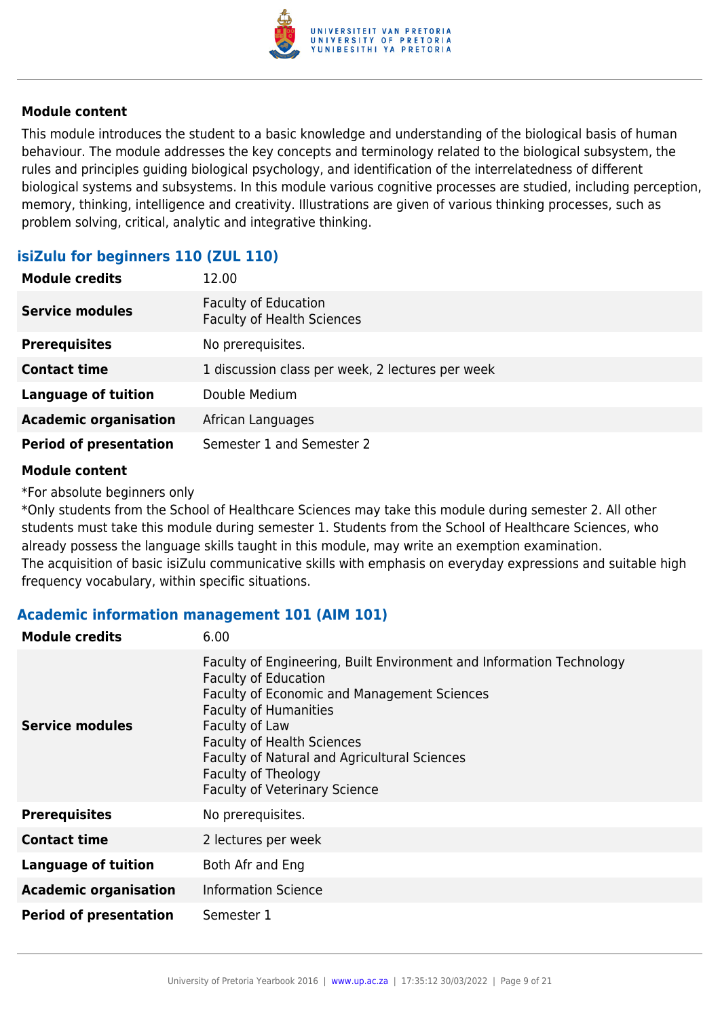

This module introduces the student to a basic knowledge and understanding of the biological basis of human behaviour. The module addresses the key concepts and terminology related to the biological subsystem, the rules and principles guiding biological psychology, and identification of the interrelatedness of different biological systems and subsystems. In this module various cognitive processes are studied, including perception, memory, thinking, intelligence and creativity. Illustrations are given of various thinking processes, such as problem solving, critical, analytic and integrative thinking.

#### **isiZulu for beginners 110 (ZUL 110)**

| <b>Module credits</b>         | 12.00                                                            |
|-------------------------------|------------------------------------------------------------------|
| <b>Service modules</b>        | <b>Faculty of Education</b><br><b>Faculty of Health Sciences</b> |
| <b>Prerequisites</b>          | No prerequisites.                                                |
| <b>Contact time</b>           | 1 discussion class per week, 2 lectures per week                 |
| <b>Language of tuition</b>    | Double Medium                                                    |
| <b>Academic organisation</b>  | African Languages                                                |
| <b>Period of presentation</b> | Semester 1 and Semester 2                                        |

#### **Module content**

\*For absolute beginners only

\*Only students from the School of Healthcare Sciences may take this module during semester 2. All other students must take this module during semester 1. Students from the School of Healthcare Sciences, who already possess the language skills taught in this module, may write an exemption examination. The acquisition of basic isiZulu communicative skills with emphasis on everyday expressions and suitable high frequency vocabulary, within specific situations.

#### **Academic information management 101 (AIM 101)**

| <b>Module credits</b>         | 6.00                                                                                                                                                                                                                                                                                                                                                            |
|-------------------------------|-----------------------------------------------------------------------------------------------------------------------------------------------------------------------------------------------------------------------------------------------------------------------------------------------------------------------------------------------------------------|
| <b>Service modules</b>        | Faculty of Engineering, Built Environment and Information Technology<br><b>Faculty of Education</b><br><b>Faculty of Economic and Management Sciences</b><br><b>Faculty of Humanities</b><br>Faculty of Law<br><b>Faculty of Health Sciences</b><br>Faculty of Natural and Agricultural Sciences<br>Faculty of Theology<br><b>Faculty of Veterinary Science</b> |
| <b>Prerequisites</b>          | No prerequisites.                                                                                                                                                                                                                                                                                                                                               |
| <b>Contact time</b>           | 2 lectures per week                                                                                                                                                                                                                                                                                                                                             |
| <b>Language of tuition</b>    | Both Afr and Eng                                                                                                                                                                                                                                                                                                                                                |
| <b>Academic organisation</b>  | <b>Information Science</b>                                                                                                                                                                                                                                                                                                                                      |
| <b>Period of presentation</b> | Semester 1                                                                                                                                                                                                                                                                                                                                                      |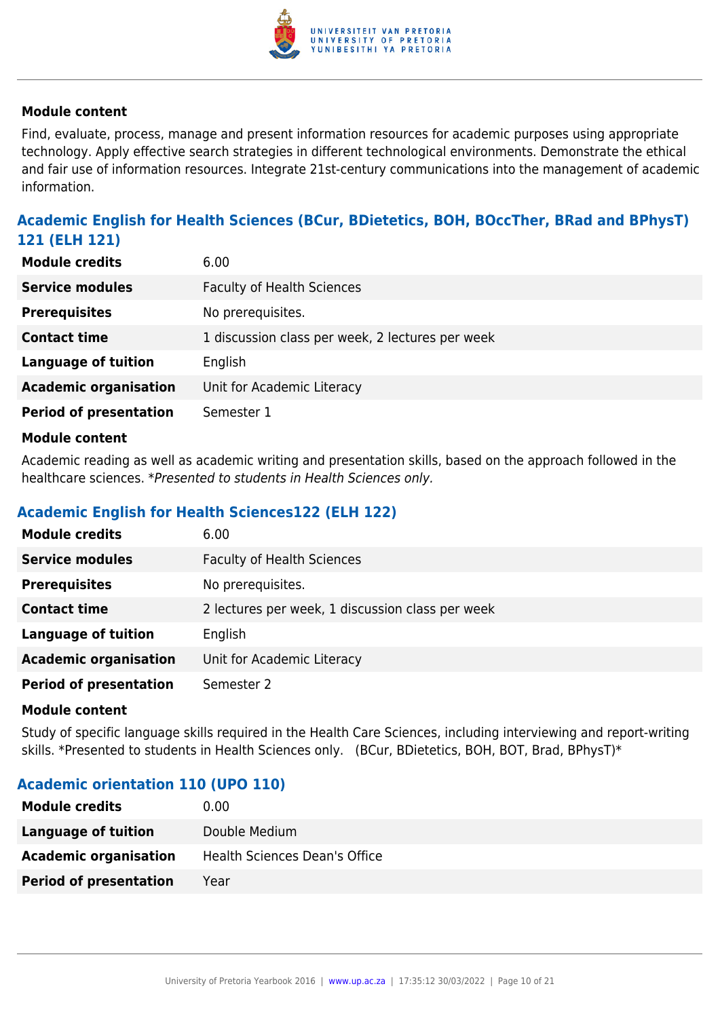

Find, evaluate, process, manage and present information resources for academic purposes using appropriate technology. Apply effective search strategies in different technological environments. Demonstrate the ethical and fair use of information resources. Integrate 21st-century communications into the management of academic information.

### **Academic English for Health Sciences (BCur, BDietetics, BOH, BOccTher, BRad and BPhysT) 121 (ELH 121)**

| <b>Module credits</b>         | 6.00                                             |
|-------------------------------|--------------------------------------------------|
| <b>Service modules</b>        | <b>Faculty of Health Sciences</b>                |
| <b>Prerequisites</b>          | No prerequisites.                                |
| <b>Contact time</b>           | 1 discussion class per week, 2 lectures per week |
| <b>Language of tuition</b>    | English                                          |
| <b>Academic organisation</b>  | Unit for Academic Literacy                       |
| <b>Period of presentation</b> | Semester 1                                       |
|                               |                                                  |

#### **Module content**

Academic reading as well as academic writing and presentation skills, based on the approach followed in the healthcare sciences. \*Presented to students in Health Sciences only.

#### **Academic English for Health Sciences122 (ELH 122)**

| <b>Module credits</b>         | 6.00                                             |
|-------------------------------|--------------------------------------------------|
| <b>Service modules</b>        | <b>Faculty of Health Sciences</b>                |
| <b>Prerequisites</b>          | No prerequisites.                                |
| <b>Contact time</b>           | 2 lectures per week, 1 discussion class per week |
| <b>Language of tuition</b>    | English                                          |
| <b>Academic organisation</b>  | Unit for Academic Literacy                       |
| <b>Period of presentation</b> | Semester 2                                       |

#### **Module content**

Study of specific language skills required in the Health Care Sciences, including interviewing and report-writing skills. \*Presented to students in Health Sciences only. (BCur, BDietetics, BOH, BOT, Brad, BPhysT)\*

#### **Academic orientation 110 (UPO 110)**

| <b>Module credits</b>         | $0.00\,$                      |
|-------------------------------|-------------------------------|
| Language of tuition           | Double Medium                 |
| <b>Academic organisation</b>  | Health Sciences Dean's Office |
| <b>Period of presentation</b> | Year                          |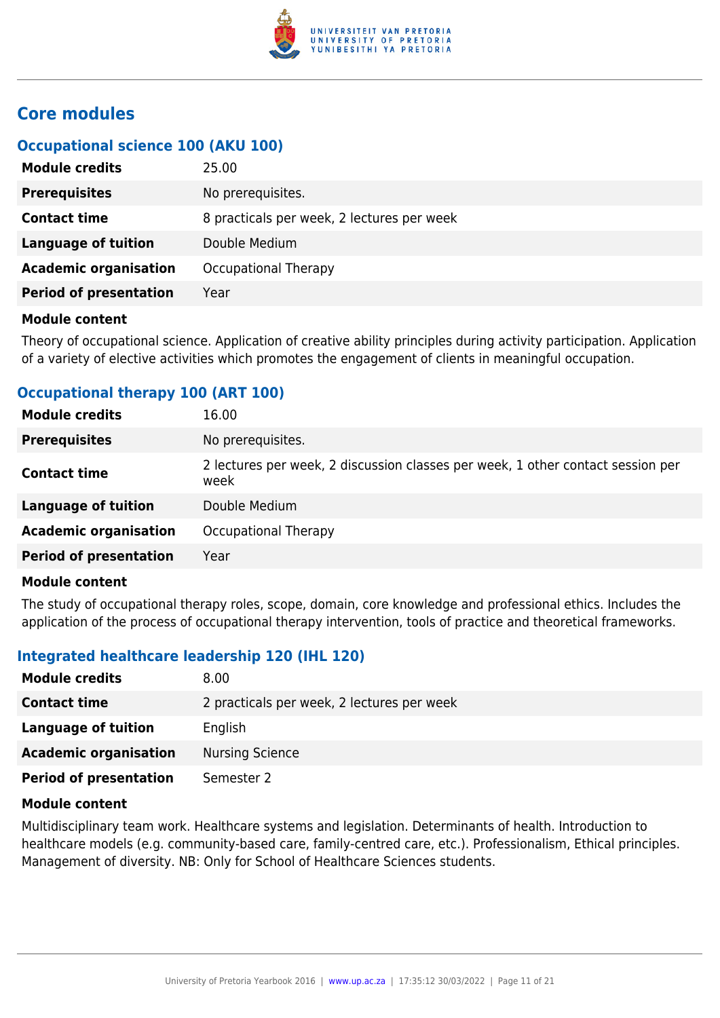

### **Core modules**

#### **Occupational science 100 (AKU 100)**

| <b>Module credits</b>         | 25.00                                      |
|-------------------------------|--------------------------------------------|
| <b>Prerequisites</b>          | No prerequisites.                          |
| <b>Contact time</b>           | 8 practicals per week, 2 lectures per week |
| Language of tuition           | Double Medium                              |
| <b>Academic organisation</b>  | Occupational Therapy                       |
| <b>Period of presentation</b> | Year                                       |
|                               |                                            |

#### **Module content**

Theory of occupational science. Application of creative ability principles during activity participation. Application of a variety of elective activities which promotes the engagement of clients in meaningful occupation.

| <b>Module credits</b>         | 16.00                                                                                   |
|-------------------------------|-----------------------------------------------------------------------------------------|
| <b>Prerequisites</b>          | No prerequisites.                                                                       |
| <b>Contact time</b>           | 2 lectures per week, 2 discussion classes per week, 1 other contact session per<br>week |
| <b>Language of tuition</b>    | Double Medium                                                                           |
| <b>Academic organisation</b>  | Occupational Therapy                                                                    |
| <b>Period of presentation</b> | Year                                                                                    |
|                               |                                                                                         |

#### **Occupational therapy 100 (ART 100)**

#### **Module content**

The study of occupational therapy roles, scope, domain, core knowledge and professional ethics. Includes the application of the process of occupational therapy intervention, tools of practice and theoretical frameworks.

#### **Integrated healthcare leadership 120 (IHL 120)**

| <b>Module credits</b>         | 8.00                                       |
|-------------------------------|--------------------------------------------|
| <b>Contact time</b>           | 2 practicals per week, 2 lectures per week |
| Language of tuition           | English                                    |
| <b>Academic organisation</b>  | <b>Nursing Science</b>                     |
| <b>Period of presentation</b> | Semester 2                                 |

#### **Module content**

Multidisciplinary team work. Healthcare systems and legislation. Determinants of health. Introduction to healthcare models (e.g. community-based care, family-centred care, etc.). Professionalism, Ethical principles. Management of diversity. NB: Only for School of Healthcare Sciences students.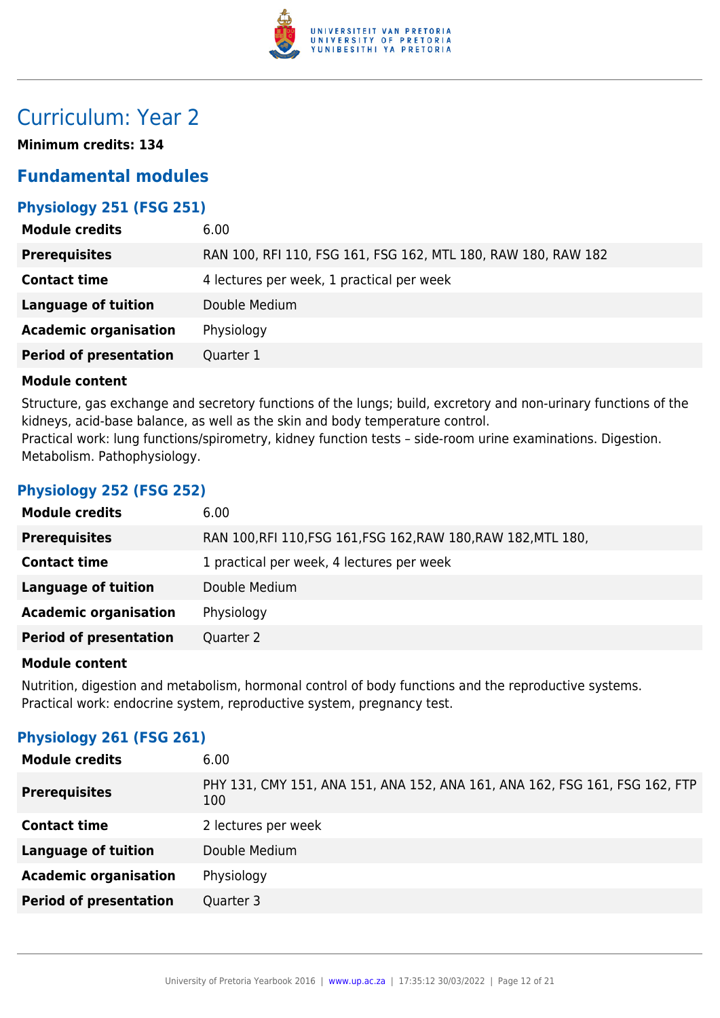

# Curriculum: Year 2

**Minimum credits: 134**

### **Fundamental modules**

### **Physiology 251 (FSG 251)**

| <b>Module credits</b>         | 6.00                                                          |
|-------------------------------|---------------------------------------------------------------|
| <b>Prerequisites</b>          | RAN 100, RFI 110, FSG 161, FSG 162, MTL 180, RAW 180, RAW 182 |
| <b>Contact time</b>           | 4 lectures per week, 1 practical per week                     |
| <b>Language of tuition</b>    | Double Medium                                                 |
| <b>Academic organisation</b>  | Physiology                                                    |
| <b>Period of presentation</b> | Quarter 1                                                     |

#### **Module content**

Structure, gas exchange and secretory functions of the lungs; build, excretory and non-urinary functions of the kidneys, acid-base balance, as well as the skin and body temperature control. Practical work: lung functions/spirometry, kidney function tests – side-room urine examinations. Digestion. Metabolism. Pathophysiology.

#### **Physiology 252 (FSG 252)**

| <b>Module credits</b>         | 6.00                                                           |
|-------------------------------|----------------------------------------------------------------|
| <b>Prerequisites</b>          | RAN 100, RFI 110, FSG 161, FSG 162, RAW 180, RAW 182, MTL 180, |
| <b>Contact time</b>           | 1 practical per week, 4 lectures per week                      |
| Language of tuition           | Double Medium                                                  |
| <b>Academic organisation</b>  | Physiology                                                     |
| <b>Period of presentation</b> | Quarter 2                                                      |
|                               |                                                                |

#### **Module content**

Nutrition, digestion and metabolism, hormonal control of body functions and the reproductive systems. Practical work: endocrine system, reproductive system, pregnancy test.

#### **Physiology 261 (FSG 261)**

| 6.00                                                                               |
|------------------------------------------------------------------------------------|
| PHY 131, CMY 151, ANA 151, ANA 152, ANA 161, ANA 162, FSG 161, FSG 162, FTP<br>100 |
| 2 lectures per week                                                                |
| Double Medium                                                                      |
| Physiology                                                                         |
| Quarter 3                                                                          |
|                                                                                    |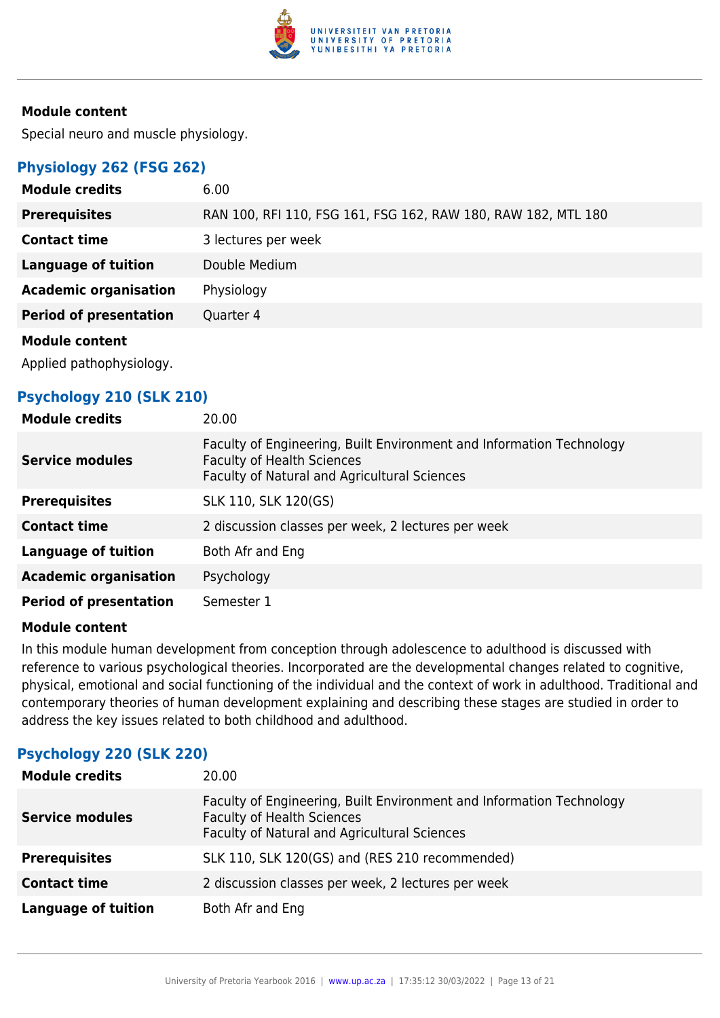

Special neuro and muscle physiology.

#### **Physiology 262 (FSG 262)**

| <b>Module credits</b>         | 6.00                                                          |
|-------------------------------|---------------------------------------------------------------|
| <b>Prerequisites</b>          | RAN 100, RFI 110, FSG 161, FSG 162, RAW 180, RAW 182, MTL 180 |
| <b>Contact time</b>           | 3 lectures per week                                           |
| <b>Language of tuition</b>    | Double Medium                                                 |
| <b>Academic organisation</b>  | Physiology                                                    |
| <b>Period of presentation</b> | Quarter 4                                                     |
| <b>Module content</b>         |                                                               |
| Applied pathophysiology.      |                                                               |

#### **Psychology 210 (SLK 210)**

| <b>Module credits</b>         | 20.00                                                                                                                                                     |
|-------------------------------|-----------------------------------------------------------------------------------------------------------------------------------------------------------|
| <b>Service modules</b>        | Faculty of Engineering, Built Environment and Information Technology<br><b>Faculty of Health Sciences</b><br>Faculty of Natural and Agricultural Sciences |
| <b>Prerequisites</b>          | SLK 110, SLK 120(GS)                                                                                                                                      |
| <b>Contact time</b>           | 2 discussion classes per week, 2 lectures per week                                                                                                        |
| <b>Language of tuition</b>    | Both Afr and Eng                                                                                                                                          |
| <b>Academic organisation</b>  | Psychology                                                                                                                                                |
| <b>Period of presentation</b> | Semester 1                                                                                                                                                |

#### **Module content**

In this module human development from conception through adolescence to adulthood is discussed with reference to various psychological theories. Incorporated are the developmental changes related to cognitive, physical, emotional and social functioning of the individual and the context of work in adulthood. Traditional and contemporary theories of human development explaining and describing these stages are studied in order to address the key issues related to both childhood and adulthood.

#### **Psychology 220 (SLK 220)**

| <b>Module credits</b>      | 20.00                                                                                                                                                     |
|----------------------------|-----------------------------------------------------------------------------------------------------------------------------------------------------------|
| <b>Service modules</b>     | Faculty of Engineering, Built Environment and Information Technology<br><b>Faculty of Health Sciences</b><br>Faculty of Natural and Agricultural Sciences |
| <b>Prerequisites</b>       | SLK 110, SLK 120(GS) and (RES 210 recommended)                                                                                                            |
| <b>Contact time</b>        | 2 discussion classes per week, 2 lectures per week                                                                                                        |
| <b>Language of tuition</b> | Both Afr and Eng                                                                                                                                          |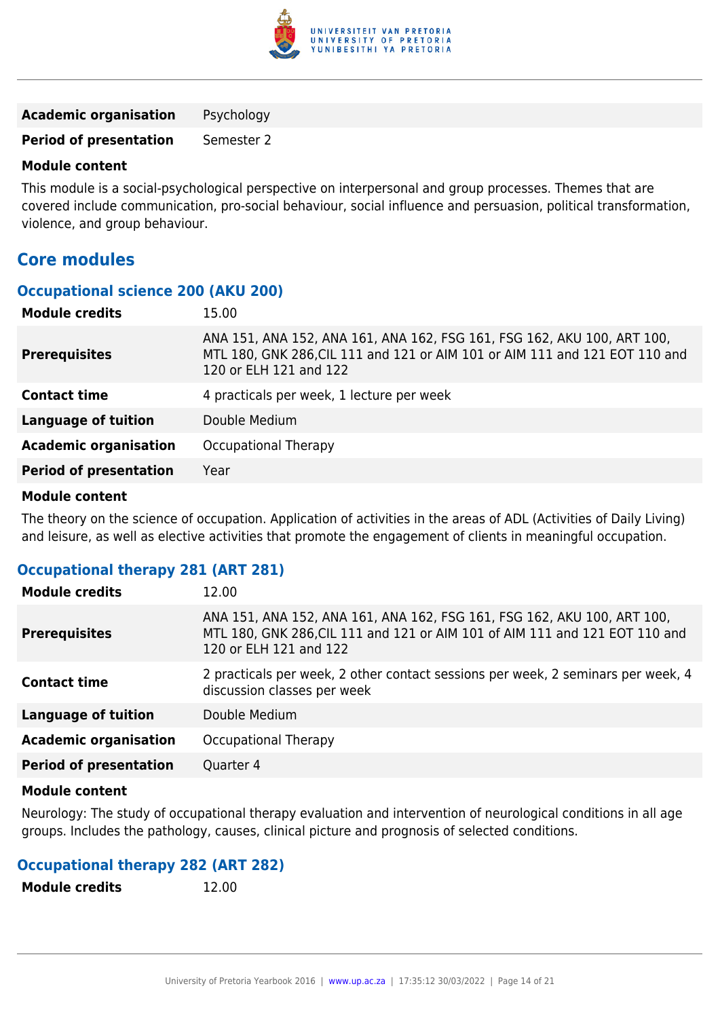

**Academic organisation** Psychology

**Period of presentation** Semester 2

#### **Module content**

This module is a social-psychological perspective on interpersonal and group processes. Themes that are covered include communication, pro-social behaviour, social influence and persuasion, political transformation, violence, and group behaviour.

### **Core modules**

#### **Occupational science 200 (AKU 200)**

| 15.00                                                                                                                                                                            |
|----------------------------------------------------------------------------------------------------------------------------------------------------------------------------------|
| ANA 151, ANA 152, ANA 161, ANA 162, FSG 161, FSG 162, AKU 100, ART 100,<br>MTL 180, GNK 286, CIL 111 and 121 or AIM 101 or AIM 111 and 121 EOT 110 and<br>120 or ELH 121 and 122 |
| 4 practicals per week, 1 lecture per week                                                                                                                                        |
| Double Medium                                                                                                                                                                    |
| Occupational Therapy                                                                                                                                                             |
| Year                                                                                                                                                                             |
|                                                                                                                                                                                  |

#### **Module content**

The theory on the science of occupation. Application of activities in the areas of ADL (Activities of Daily Living) and leisure, as well as elective activities that promote the engagement of clients in meaningful occupation.

#### **Occupational therapy 281 (ART 281)**

| <b>Module credits</b>         | 12.00                                                                                                                                                                            |
|-------------------------------|----------------------------------------------------------------------------------------------------------------------------------------------------------------------------------|
| <b>Prerequisites</b>          | ANA 151, ANA 152, ANA 161, ANA 162, FSG 161, FSG 162, AKU 100, ART 100,<br>MTL 180, GNK 286, CIL 111 and 121 or AIM 101 of AIM 111 and 121 EOT 110 and<br>120 or ELH 121 and 122 |
| <b>Contact time</b>           | 2 practicals per week, 2 other contact sessions per week, 2 seminars per week, 4<br>discussion classes per week                                                                  |
| Language of tuition           | Double Medium                                                                                                                                                                    |
| <b>Academic organisation</b>  | Occupational Therapy                                                                                                                                                             |
| <b>Period of presentation</b> | Quarter 4                                                                                                                                                                        |
|                               |                                                                                                                                                                                  |

#### **Module content**

Neurology: The study of occupational therapy evaluation and intervention of neurological conditions in all age groups. Includes the pathology, causes, clinical picture and prognosis of selected conditions.

#### **Occupational therapy 282 (ART 282)**

| <b>Module credits</b> | 12.00 |
|-----------------------|-------|
|-----------------------|-------|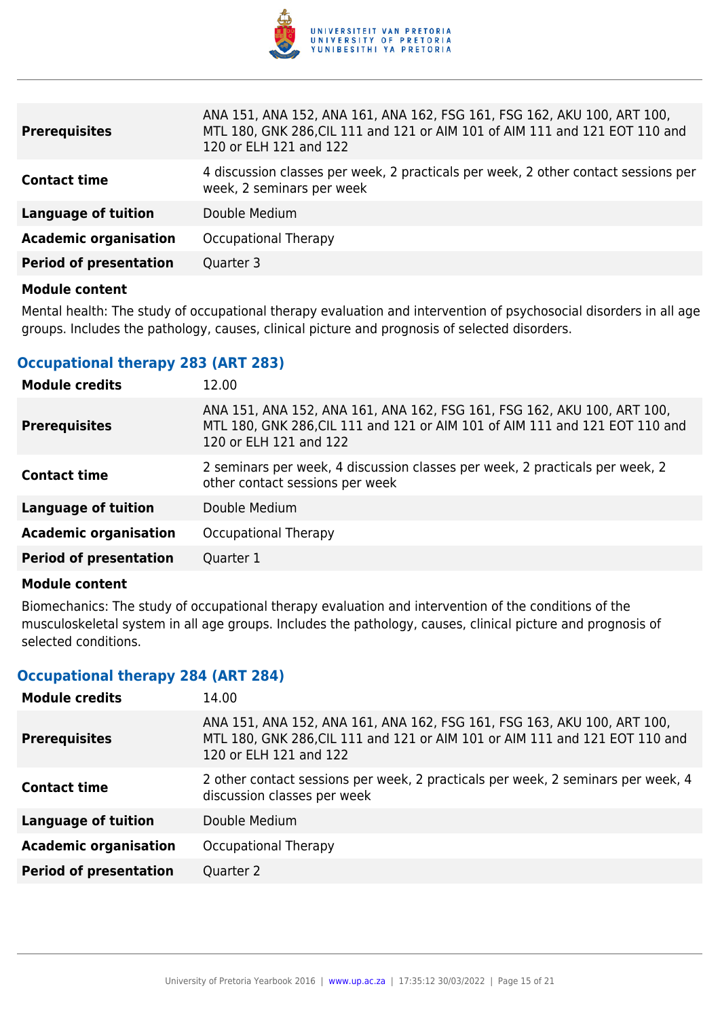

| <b>Prerequisites</b>          | ANA 151, ANA 152, ANA 161, ANA 162, FSG 161, FSG 162, AKU 100, ART 100,<br>MTL 180, GNK 286, CIL 111 and 121 or AIM 101 of AIM 111 and 121 EOT 110 and<br>120 or ELH 121 and 122 |
|-------------------------------|----------------------------------------------------------------------------------------------------------------------------------------------------------------------------------|
| <b>Contact time</b>           | 4 discussion classes per week, 2 practicals per week, 2 other contact sessions per<br>week, 2 seminars per week                                                                  |
| <b>Language of tuition</b>    | Double Medium                                                                                                                                                                    |
| <b>Academic organisation</b>  | Occupational Therapy                                                                                                                                                             |
| <b>Period of presentation</b> | Quarter 3                                                                                                                                                                        |

Mental health: The study of occupational therapy evaluation and intervention of psychosocial disorders in all age groups. Includes the pathology, causes, clinical picture and prognosis of selected disorders.

#### **Occupational therapy 283 (ART 283)**

| <b>Module credits</b>         | 12.00                                                                                                                                                                            |
|-------------------------------|----------------------------------------------------------------------------------------------------------------------------------------------------------------------------------|
| <b>Prerequisites</b>          | ANA 151, ANA 152, ANA 161, ANA 162, FSG 161, FSG 162, AKU 100, ART 100,<br>MTL 180, GNK 286, CIL 111 and 121 or AIM 101 of AIM 111 and 121 EOT 110 and<br>120 or ELH 121 and 122 |
| <b>Contact time</b>           | 2 seminars per week, 4 discussion classes per week, 2 practicals per week, 2<br>other contact sessions per week                                                                  |
| <b>Language of tuition</b>    | Double Medium                                                                                                                                                                    |
| <b>Academic organisation</b>  | Occupational Therapy                                                                                                                                                             |
| <b>Period of presentation</b> | Quarter 1                                                                                                                                                                        |

#### **Module content**

Biomechanics: The study of occupational therapy evaluation and intervention of the conditions of the musculoskeletal system in all age groups. Includes the pathology, causes, clinical picture and prognosis of selected conditions.

#### **Occupational therapy 284 (ART 284)**

| <b>Module credits</b>         | 14.00                                                                                                                                                                            |
|-------------------------------|----------------------------------------------------------------------------------------------------------------------------------------------------------------------------------|
| <b>Prerequisites</b>          | ANA 151, ANA 152, ANA 161, ANA 162, FSG 161, FSG 163, AKU 100, ART 100,<br>MTL 180, GNK 286, CIL 111 and 121 or AIM 101 or AIM 111 and 121 EOT 110 and<br>120 or ELH 121 and 122 |
| <b>Contact time</b>           | 2 other contact sessions per week, 2 practicals per week, 2 seminars per week, 4<br>discussion classes per week                                                                  |
| <b>Language of tuition</b>    | Double Medium                                                                                                                                                                    |
| <b>Academic organisation</b>  | Occupational Therapy                                                                                                                                                             |
| <b>Period of presentation</b> | Quarter 2                                                                                                                                                                        |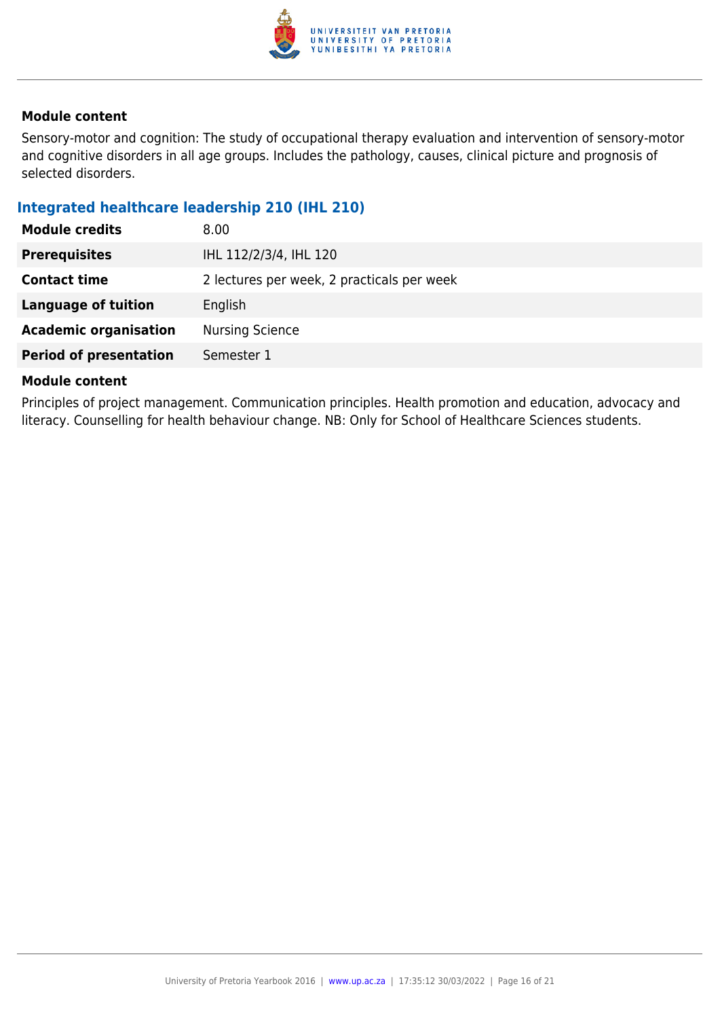

Sensory-motor and cognition: The study of occupational therapy evaluation and intervention of sensory-motor and cognitive disorders in all age groups. Includes the pathology, causes, clinical picture and prognosis of selected disorders.

#### **Integrated healthcare leadership 210 (IHL 210)**

| <b>Module credits</b>         | 8.00                                       |
|-------------------------------|--------------------------------------------|
| <b>Prerequisites</b>          | IHL 112/2/3/4, IHL 120                     |
| <b>Contact time</b>           | 2 lectures per week, 2 practicals per week |
| Language of tuition           | English                                    |
| <b>Academic organisation</b>  | <b>Nursing Science</b>                     |
| <b>Period of presentation</b> | Semester 1                                 |

#### **Module content**

Principles of project management. Communication principles. Health promotion and education, advocacy and literacy. Counselling for health behaviour change. NB: Only for School of Healthcare Sciences students.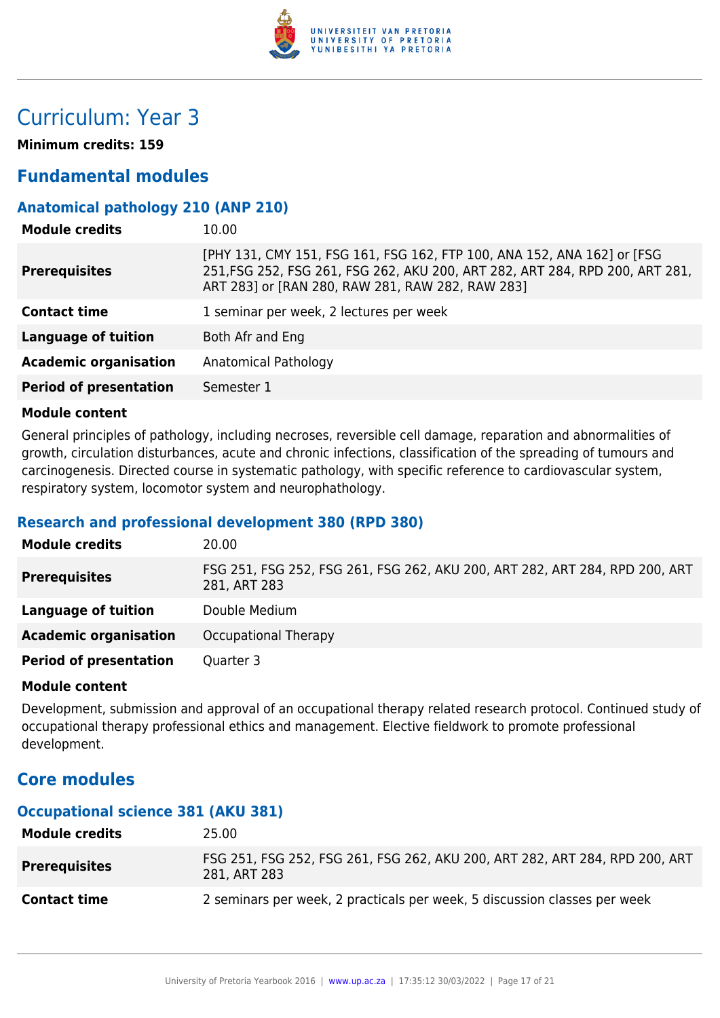

# Curriculum: Year 3

**Minimum credits: 159**

### **Fundamental modules**

#### **Anatomical pathology 210 (ANP 210)**

| <b>Module credits</b>         | 10.00                                                                                                                                                                                                       |
|-------------------------------|-------------------------------------------------------------------------------------------------------------------------------------------------------------------------------------------------------------|
| <b>Prerequisites</b>          | [PHY 131, CMY 151, FSG 161, FSG 162, FTP 100, ANA 152, ANA 162] or [FSG<br>251, FSG 252, FSG 261, FSG 262, AKU 200, ART 282, ART 284, RPD 200, ART 281,<br>ART 283] or [RAN 280, RAW 281, RAW 282, RAW 283] |
| <b>Contact time</b>           | 1 seminar per week, 2 lectures per week                                                                                                                                                                     |
| <b>Language of tuition</b>    | Both Afr and Eng                                                                                                                                                                                            |
| <b>Academic organisation</b>  | Anatomical Pathology                                                                                                                                                                                        |
| <b>Period of presentation</b> | Semester 1                                                                                                                                                                                                  |

#### **Module content**

General principles of pathology, including necroses, reversible cell damage, reparation and abnormalities of growth, circulation disturbances, acute and chronic infections, classification of the spreading of tumours and carcinogenesis. Directed course in systematic pathology, with specific reference to cardiovascular system, respiratory system, locomotor system and neurophathology.

#### **Research and professional development 380 (RPD 380)**

| <b>Module credits</b>         | 20.00                                                                                       |
|-------------------------------|---------------------------------------------------------------------------------------------|
| <b>Prerequisites</b>          | FSG 251, FSG 252, FSG 261, FSG 262, AKU 200, ART 282, ART 284, RPD 200, ART<br>281, ART 283 |
| Language of tuition           | Double Medium                                                                               |
| <b>Academic organisation</b>  | Occupational Therapy                                                                        |
| <b>Period of presentation</b> | Quarter 3                                                                                   |

#### **Module content**

Development, submission and approval of an occupational therapy related research protocol. Continued study of occupational therapy professional ethics and management. Elective fieldwork to promote professional development.

### **Core modules**

#### **Occupational science 381 (AKU 381)**

| <b>Module credits</b> | 25.00                                                                                       |
|-----------------------|---------------------------------------------------------------------------------------------|
| <b>Prerequisites</b>  | FSG 251, FSG 252, FSG 261, FSG 262, AKU 200, ART 282, ART 284, RPD 200, ART<br>281, ART 283 |
| <b>Contact time</b>   | 2 seminars per week, 2 practicals per week, 5 discussion classes per week                   |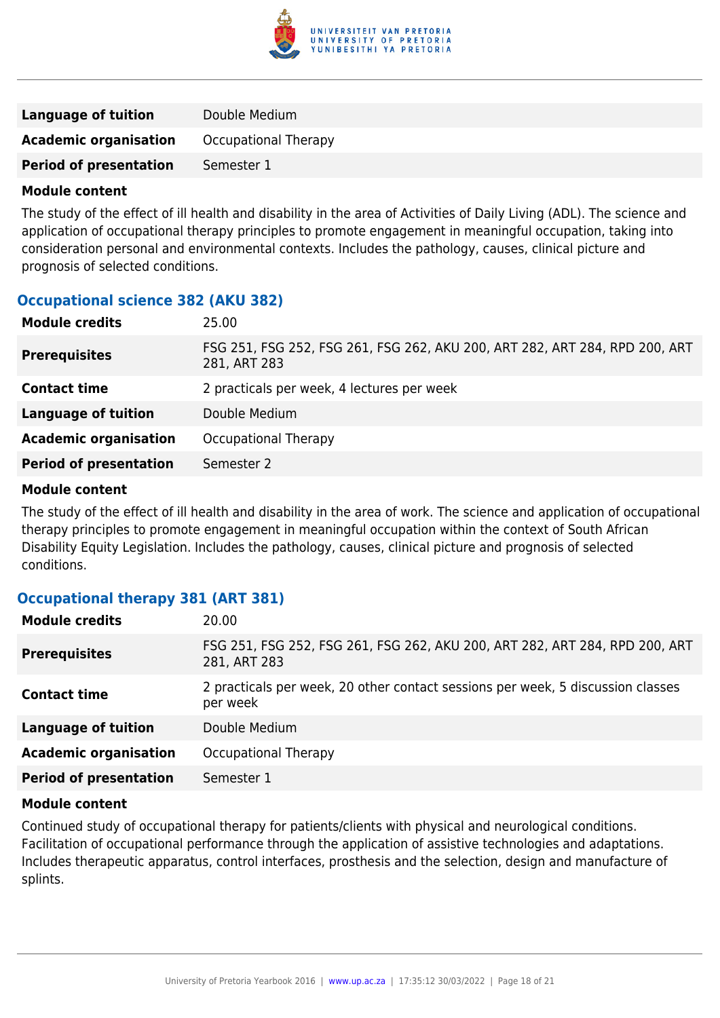

| <b>Language of tuition</b>    | Double Medium        |
|-------------------------------|----------------------|
| <b>Academic organisation</b>  | Occupational Therapy |
| <b>Period of presentation</b> | Semester 1           |

The study of the effect of ill health and disability in the area of Activities of Daily Living (ADL). The science and application of occupational therapy principles to promote engagement in meaningful occupation, taking into consideration personal and environmental contexts. Includes the pathology, causes, clinical picture and prognosis of selected conditions.

#### **Occupational science 382 (AKU 382)**

| <b>Module credits</b>         | 25.00                                                                                       |
|-------------------------------|---------------------------------------------------------------------------------------------|
| <b>Prerequisites</b>          | FSG 251, FSG 252, FSG 261, FSG 262, AKU 200, ART 282, ART 284, RPD 200, ART<br>281, ART 283 |
| <b>Contact time</b>           | 2 practicals per week, 4 lectures per week                                                  |
| <b>Language of tuition</b>    | Double Medium                                                                               |
| <b>Academic organisation</b>  | Occupational Therapy                                                                        |
| <b>Period of presentation</b> | Semester 2                                                                                  |
|                               |                                                                                             |

#### **Module content**

The study of the effect of ill health and disability in the area of work. The science and application of occupational therapy principles to promote engagement in meaningful occupation within the context of South African Disability Equity Legislation. Includes the pathology, causes, clinical picture and prognosis of selected conditions.

#### **Occupational therapy 381 (ART 381)**

| <b>Module credits</b>         | 20.00                                                                                       |
|-------------------------------|---------------------------------------------------------------------------------------------|
| <b>Prerequisites</b>          | FSG 251, FSG 252, FSG 261, FSG 262, AKU 200, ART 282, ART 284, RPD 200, ART<br>281, ART 283 |
| <b>Contact time</b>           | 2 practicals per week, 20 other contact sessions per week, 5 discussion classes<br>per week |
| <b>Language of tuition</b>    | Double Medium                                                                               |
| <b>Academic organisation</b>  | Occupational Therapy                                                                        |
| <b>Period of presentation</b> | Semester 1                                                                                  |

#### **Module content**

Continued study of occupational therapy for patients/clients with physical and neurological conditions. Facilitation of occupational performance through the application of assistive technologies and adaptations. Includes therapeutic apparatus, control interfaces, prosthesis and the selection, design and manufacture of splints.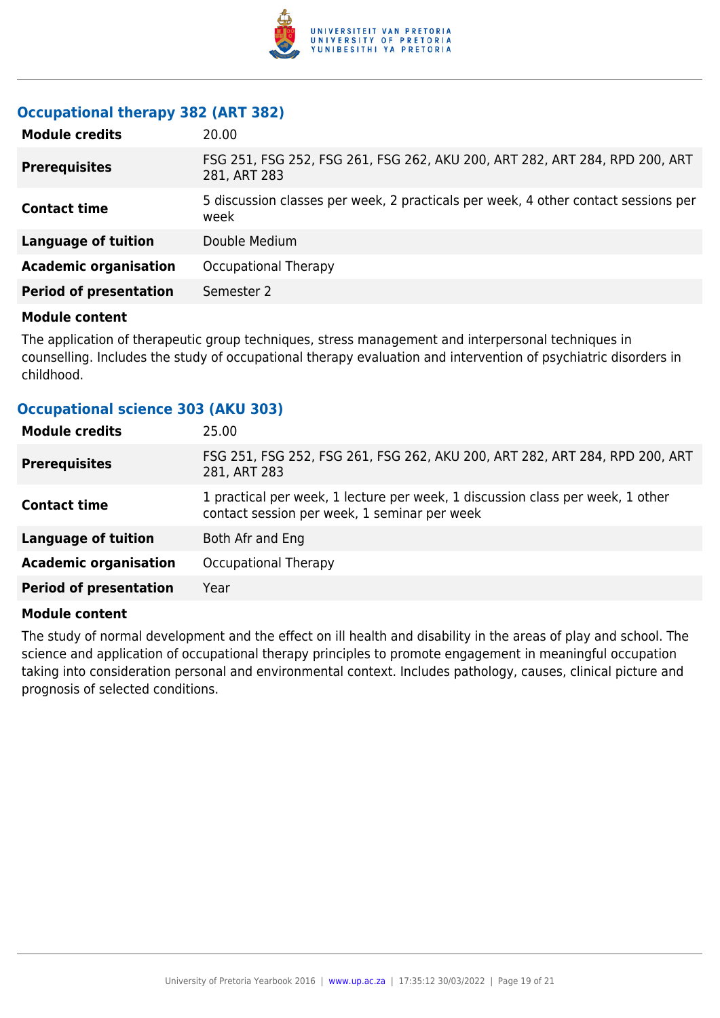

#### **Occupational therapy 382 (ART 382)**

| <b>Module credits</b>         | 20.00                                                                                       |
|-------------------------------|---------------------------------------------------------------------------------------------|
| <b>Prerequisites</b>          | FSG 251, FSG 252, FSG 261, FSG 262, AKU 200, ART 282, ART 284, RPD 200, ART<br>281, ART 283 |
| <b>Contact time</b>           | 5 discussion classes per week, 2 practicals per week, 4 other contact sessions per<br>week  |
| <b>Language of tuition</b>    | Double Medium                                                                               |
| <b>Academic organisation</b>  | Occupational Therapy                                                                        |
| <b>Period of presentation</b> | Semester 2                                                                                  |

#### **Module content**

The application of therapeutic group techniques, stress management and interpersonal techniques in counselling. Includes the study of occupational therapy evaluation and intervention of psychiatric disorders in childhood.

#### **Occupational science 303 (AKU 303)**

| <b>Module credits</b>         | 25.00                                                                                                                          |
|-------------------------------|--------------------------------------------------------------------------------------------------------------------------------|
| <b>Prerequisites</b>          | FSG 251, FSG 252, FSG 261, FSG 262, AKU 200, ART 282, ART 284, RPD 200, ART<br>281, ART 283                                    |
| <b>Contact time</b>           | 1 practical per week, 1 lecture per week, 1 discussion class per week, 1 other<br>contact session per week, 1 seminar per week |
| <b>Language of tuition</b>    | Both Afr and Eng                                                                                                               |
| <b>Academic organisation</b>  | Occupational Therapy                                                                                                           |
| <b>Period of presentation</b> | Year                                                                                                                           |

#### **Module content**

The study of normal development and the effect on ill health and disability in the areas of play and school. The science and application of occupational therapy principles to promote engagement in meaningful occupation taking into consideration personal and environmental context. Includes pathology, causes, clinical picture and prognosis of selected conditions.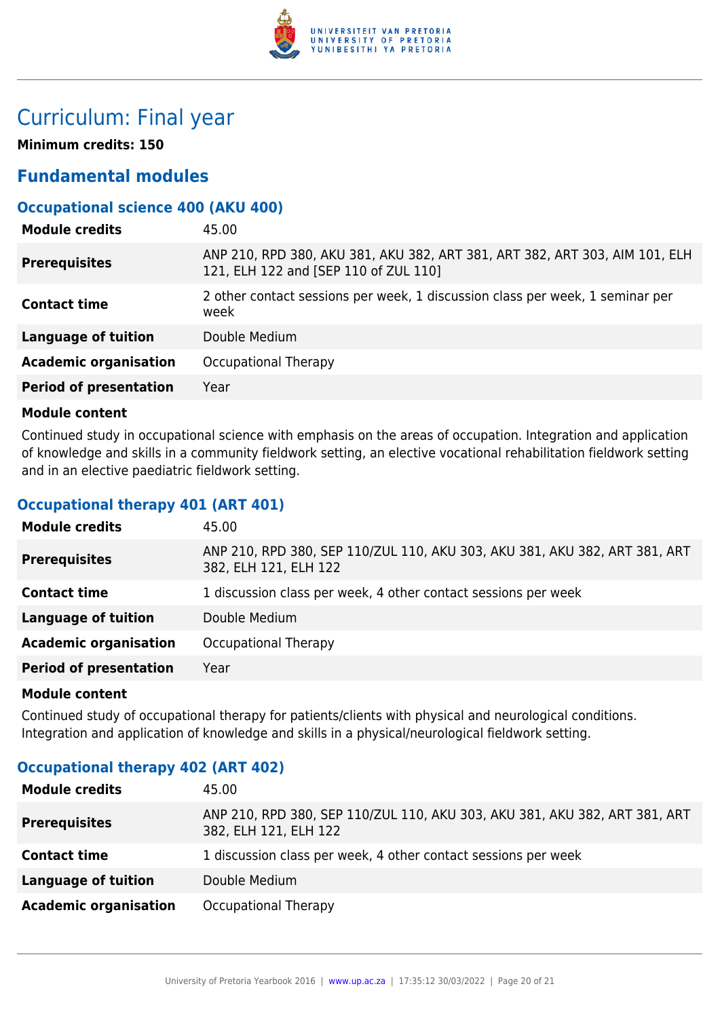

# Curriculum: Final year

**Minimum credits: 150**

### **Fundamental modules**

#### **Occupational science 400 (AKU 400)**

| <b>Module credits</b>         | 45.00                                                                                                                |
|-------------------------------|----------------------------------------------------------------------------------------------------------------------|
| <b>Prerequisites</b>          | ANP 210, RPD 380, AKU 381, AKU 382, ART 381, ART 382, ART 303, AIM 101, ELH<br>121, ELH 122 and [SEP 110 of ZUL 110] |
| <b>Contact time</b>           | 2 other contact sessions per week, 1 discussion class per week, 1 seminar per<br>week                                |
| <b>Language of tuition</b>    | Double Medium                                                                                                        |
| <b>Academic organisation</b>  | Occupational Therapy                                                                                                 |
| <b>Period of presentation</b> | Year                                                                                                                 |

#### **Module content**

Continued study in occupational science with emphasis on the areas of occupation. Integration and application of knowledge and skills in a community fieldwork setting, an elective vocational rehabilitation fieldwork setting and in an elective paediatric fieldwork setting.

#### **Occupational therapy 401 (ART 401)**

| <b>Module credits</b>         | 45.00                                                                                               |
|-------------------------------|-----------------------------------------------------------------------------------------------------|
| <b>Prerequisites</b>          | ANP 210, RPD 380, SEP 110/ZUL 110, AKU 303, AKU 381, AKU 382, ART 381, ART<br>382, ELH 121, ELH 122 |
| <b>Contact time</b>           | 1 discussion class per week, 4 other contact sessions per week                                      |
| <b>Language of tuition</b>    | Double Medium                                                                                       |
| <b>Academic organisation</b>  | Occupational Therapy                                                                                |
| <b>Period of presentation</b> | Year                                                                                                |
|                               |                                                                                                     |

#### **Module content**

Continued study of occupational therapy for patients/clients with physical and neurological conditions. Integration and application of knowledge and skills in a physical/neurological fieldwork setting.

#### **Occupational therapy 402 (ART 402)**

| <b>Module credits</b>        | 45.00                                                                                               |
|------------------------------|-----------------------------------------------------------------------------------------------------|
| <b>Prerequisites</b>         | ANP 210, RPD 380, SEP 110/ZUL 110, AKU 303, AKU 381, AKU 382, ART 381, ART<br>382, ELH 121, ELH 122 |
| <b>Contact time</b>          | 1 discussion class per week, 4 other contact sessions per week                                      |
| Language of tuition          | Double Medium                                                                                       |
| <b>Academic organisation</b> | Occupational Therapy                                                                                |